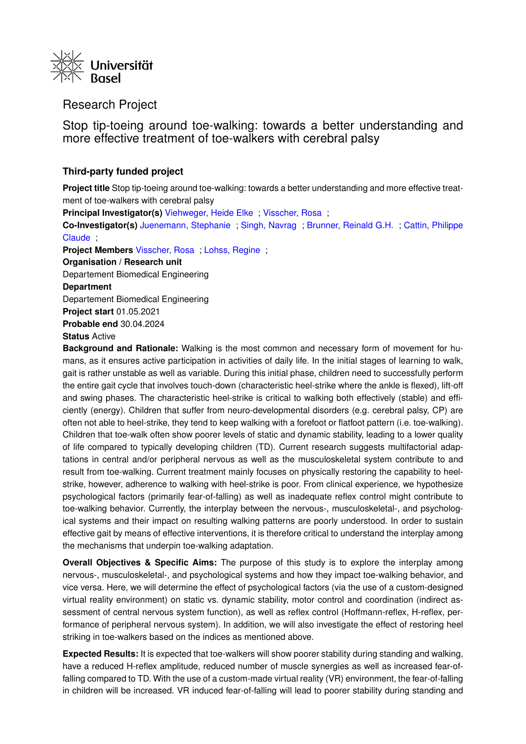

## Research Project

Stop tip-toeing around toe-walking: towards a better understanding and more effective treatment of toe-walkers with cerebral palsy

## **Third-party funded project**

**Project title** Stop tip-toeing around toe-walking: towards a better understanding and more effective treatment of toe-walkers with cerebral palsy

**Principal Investigator(s)** [Viehweger, Heide Elke](https://forschdb2.unibas.ch/inf2/profiles_view/profile_view.php?pid=5f4342c5d0c0e&int=2) ; [Visscher, Rosa](https://forschdb2.unibas.ch/inf2/profiles_view/profile_view.php?pid=5d60ae3c70b26&int=2) ;

**Co-Investigator(s)** [Juenemann, Stephanie](https://forschdb2.unibas.ch/inf2/profiles_view/profile_view.php?pid=6061ed3ebcf6d&int=2) ; [Singh, Navrag](https://forschdb2.unibas.ch/inf2/profiles_view/profile_view.php?pid=6061ed089d6e6&int=2) ; [Brunner, Reinald G.H.](https://forschdb2.unibas.ch/inf2/profiles_view/profile_view.php?pid=495e6c203dbd5&int=2) ; [Cattin, Philippe](https://forschdb2.unibas.ch/inf2/profiles_view/profile_view.php?pid=495e6c3022fed&int=2) [Claude](https://forschdb2.unibas.ch/inf2/profiles_view/profile_view.php?pid=495e6c3022fed&int=2) ;

**Project Members** [Visscher, Rosa](https://forschdb2.unibas.ch/inf2/profiles_view/profile_view.php?pid=5d60ae3c70b26&int=2) ; [Lohss, Regine](https://forschdb2.unibas.ch/inf2/profiles_view/profile_view.php?pid=60a9cf7d0eba1&int=2) ;

**Organisation / Research unit** Departement Biomedical Engineering **Department** Departement Biomedical Engineering **Project start** 01.05.2021 **Probable end** 30.04.2024 **Status** Active

**Background and Rationale:** Walking is the most common and necessary form of movement for humans, as it ensures active participation in activities of daily life. In the initial stages of learning to walk, gait is rather unstable as well as variable. During this initial phase, children need to successfully perform the entire gait cycle that involves touch-down (characteristic heel-strike where the ankle is flexed), lift-off and swing phases. The characteristic heel-strike is critical to walking both effectively (stable) and efficiently (energy). Children that suffer from neuro-developmental disorders (e.g. cerebral palsy, CP) are often not able to heel-strike, they tend to keep walking with a forefoot or flatfoot pattern (i.e. toe-walking). Children that toe-walk often show poorer levels of static and dynamic stability, leading to a lower quality of life compared to typically developing children (TD). Current research suggests multifactorial adaptations in central and/or peripheral nervous as well as the musculoskeletal system contribute to and result from toe-walking. Current treatment mainly focuses on physically restoring the capability to heelstrike, however, adherence to walking with heel-strike is poor. From clinical experience, we hypothesize psychological factors (primarily fear-of-falling) as well as inadequate reflex control might contribute to toe-walking behavior. Currently, the interplay between the nervous-, musculoskeletal-, and psychological systems and their impact on resulting walking patterns are poorly understood. In order to sustain effective gait by means of effective interventions, it is therefore critical to understand the interplay among the mechanisms that underpin toe-walking adaptation.

**Overall Objectives & Specific Aims:** The purpose of this study is to explore the interplay among nervous-, musculoskeletal-, and psychological systems and how they impact toe-walking behavior, and vice versa. Here, we will determine the effect of psychological factors (via the use of a custom-designed virtual reality environment) on static vs. dynamic stability, motor control and coordination (indirect assessment of central nervous system function), as well as reflex control (Hoffmann-reflex, H-reflex, performance of peripheral nervous system). In addition, we will also investigate the effect of restoring heel striking in toe-walkers based on the indices as mentioned above.

**Expected Results:** It is expected that toe-walkers will show poorer stability during standing and walking, have a reduced H-reflex amplitude, reduced number of muscle synergies as well as increased fear-offalling compared to TD. With the use of a custom-made virtual reality (VR) environment, the fear-of-falling in children will be increased. VR induced fear-of-falling will lead to poorer stability during standing and